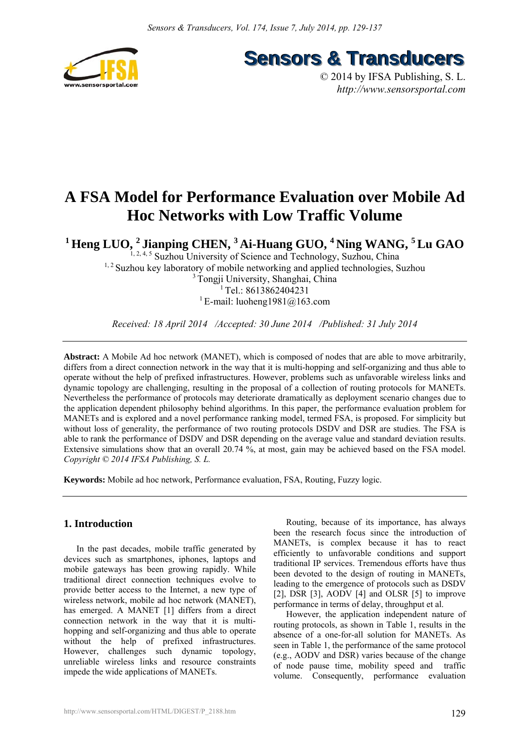

**Sensors & Transducers** 

© 2014 by IFSA Publishing, S. L. *http://www.sensorsportal.com*

## **A FSA Model for Performance Evaluation over Mobile Ad Hoc Networks with Low Traffic Volume**

**1 Heng LUO, 2 Jianping CHEN, 3 Ai-Huang GUO, 4 Ning WANG, 5 Lu GAO** 

<sup>1, 2, 4, 5</sup> Suzhou University of Science and Technology, Suzhou, China <sup>1, 2</sup> Suzhou key laboratory of mobile networking and applied technologies, Suzhou <sup>3</sup> Tongji University, Shanghai, China  $\frac{1}{1}$  Tel.: 8613862404231 <sup>1</sup> E-mail: luoheng1981@163.com

*Received: 18 April 2014 /Accepted: 30 June 2014 /Published: 31 July 2014*

**Abstract:** A Mobile Ad hoc network (MANET), which is composed of nodes that are able to move arbitrarily, differs from a direct connection network in the way that it is multi-hopping and self-organizing and thus able to operate without the help of prefixed infrastructures. However, problems such as unfavorable wireless links and dynamic topology are challenging, resulting in the proposal of a collection of routing protocols for MANETs. Nevertheless the performance of protocols may deteriorate dramatically as deployment scenario changes due to the application dependent philosophy behind algorithms. In this paper, the performance evaluation problem for MANETs and is explored and a novel performance ranking model, termed FSA, is proposed. For simplicity but without loss of generality, the performance of two routing protocols DSDV and DSR are studies. The FSA is able to rank the performance of DSDV and DSR depending on the average value and standard deviation results. Extensive simulations show that an overall 20.74 %, at most, gain may be achieved based on the FSA model. *Copyright © 2014 IFSA Publishing, S. L.*

**Keywords:** Mobile ad hoc network, Performance evaluation, FSA, Routing, Fuzzy logic.

## **1. Introduction**

In the past decades, mobile traffic generated by devices such as smartphones, iphones, laptops and mobile gateways has been growing rapidly. While traditional direct connection techniques evolve to provide better access to the Internet, a new type of wireless network, mobile ad hoc network (MANET), has emerged. A MANET [1] differs from a direct connection network in the way that it is multihopping and self-organizing and thus able to operate without the help of prefixed infrastructures. However, challenges such dynamic topology, unreliable wireless links and resource constraints impede the wide applications of MANETs.

Routing, because of its importance, has always been the research focus since the introduction of MANETs, is complex because it has to react efficiently to unfavorable conditions and support traditional IP services. Tremendous efforts have thus been devoted to the design of routing in MANETs, leading to the emergence of protocols such as DSDV [2], DSR [3], AODV [4] and OLSR [5] to improve performance in terms of delay, throughput et al.

However, the application independent nature of routing protocols, as shown in Table 1, results in the absence of a one-for-all solution for MANETs. As seen in Table 1, the performance of the same protocol (e.g., AODV and DSR) varies because of the change of node pause time, mobility speed and traffic volume. Consequently, performance evaluation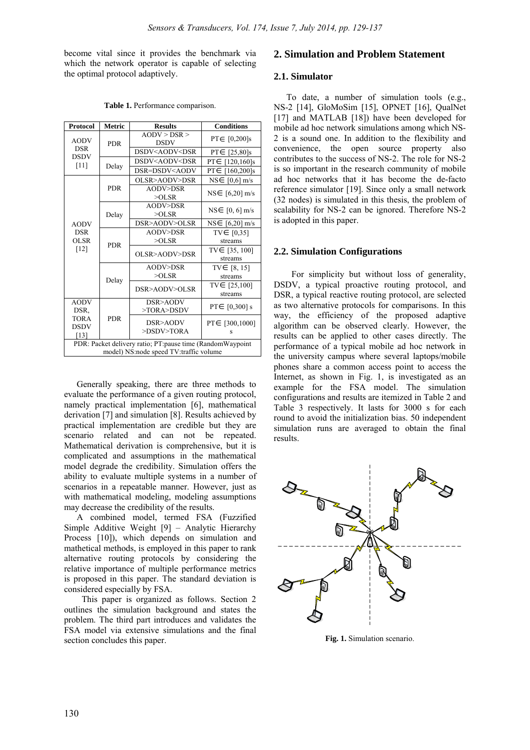become vital since it provides the benchmark via which the network operator is capable of selecting the optimal protocol adaptively.

| Protocol                           | Metric                                                                                              | <b>Results</b>                                                           | <b>Conditions</b>             |  |  |
|------------------------------------|-----------------------------------------------------------------------------------------------------|--------------------------------------------------------------------------|-------------------------------|--|--|
| <b>AODV</b>                        | <b>PDR</b>                                                                                          | AODV > DSR ><br><b>DSDV</b>                                              | PT $\in$ [0,200]s             |  |  |
| <b>DSR</b>                         |                                                                                                     | DSDV <aodv<dsr< td=""><td>PT<math>\in</math> [25,80]s</td></aodv<dsr<>   | PT $\in$ [25,80]s             |  |  |
| <b>DSDV</b><br>[11]                |                                                                                                     | DSDV <aodv<dsr< td=""><td>PT<math>\in</math> [120,160]s</td></aodv<dsr<> | PT $\in$ [120,160]s           |  |  |
|                                    | Delay                                                                                               | DSR=DSDV <aodv< td=""><td>PT∈ [160,200]s</td></aodv<>                    | PT∈ [160,200]s                |  |  |
|                                    |                                                                                                     | <b>OLSR&gt;AODV&gt;DSR</b>                                               | NS $\in$ [0,6] m/s            |  |  |
|                                    | <b>PDR</b>                                                                                          | AODV>DSR<br>$>$ OLSR                                                     | NS $\in$ [6,20] m/s           |  |  |
|                                    | Delay                                                                                               | AODV>DSR<br>$>$ OLSR                                                     | NS $\in$ [0, 6] m/s           |  |  |
| <b>AODV</b>                        |                                                                                                     | DSR>AODV>OLSR                                                            | NS $\in$ [6,20] m/s           |  |  |
| <b>DSR</b>                         |                                                                                                     | AODV>DSR                                                                 | $TV \in [0, 35]$              |  |  |
| OLSR.<br>$[12]$                    | <b>PDR</b>                                                                                          | >OLSR                                                                    | streams                       |  |  |
|                                    |                                                                                                     | OLSR>AODV>DSR                                                            | $TV \in [35, 100]$<br>streams |  |  |
|                                    |                                                                                                     | AODV>DSR                                                                 | TV $\in$ [8, 15]              |  |  |
|                                    |                                                                                                     | $>$ OLSR                                                                 | streams                       |  |  |
|                                    | Delay                                                                                               | DSR>AODV>OLSR                                                            | $TV \in [25, 100]$<br>streams |  |  |
| <b>AODV</b><br>DSR.                |                                                                                                     | DSR>AODV<br>>TORA>DSDV                                                   | PT $\in$ [0,300] s            |  |  |
| <b>TORA</b><br><b>DSDV</b><br>[13] | <b>PDR</b>                                                                                          | DSR>AODV<br>>DSDV>TORA                                                   | PT∈ [300,1000]<br>s           |  |  |
|                                    | PDR: Packet delivery ratio; PT:pause time (RandomWaypoint<br>model) NS:node speed TV:traffic volume |                                                                          |                               |  |  |

**Table 1.** Performance comparison.

Generally speaking, there are three methods to evaluate the performance of a given routing protocol, namely practical implementation [6], mathematical derivation [7] and simulation [8]. Results achieved by practical implementation are credible but they are scenario related and can not be repeated. Mathematical derivation is comprehensive, but it is complicated and assumptions in the mathematical model degrade the credibility. Simulation offers the ability to evaluate multiple systems in a number of scenarios in a repeatable manner. However, just as with mathematical modeling, modeling assumptions may decrease the credibility of the results.

A combined model, termed FSA (Fuzzified Simple Additive Weight [9] – Analytic Hierarchy Process [10]), which depends on simulation and mathetical methods, is employed in this paper to rank alternative routing protocols by considering the relative importance of multiple performance metrics is proposed in this paper. The standard deviation is considered especially by FSA.

This paper is organized as follows. Section 2 outlines the simulation background and states the problem. The third part introduces and validates the FSA model via extensive simulations and the final section concludes this paper.

#### **2. Simulation and Problem Statement**

#### **2.1. Simulator**

To date, a number of simulation tools (e.g., NS-2 [14], GloMoSim [15], OPNET [16], QualNet [17] and MATLAB [18]) have been developed for mobile ad hoc network simulations among which NS-2 is a sound one. In addition to the flexibility and convenience, the open source property also contributes to the success of NS-2. The role for NS-2 is so important in the research community of mobile ad hoc networks that it has become the de-facto reference simulator [19]. Since only a small network (32 nodes) is simulated in this thesis, the problem of scalability for NS-2 can be ignored. Therefore NS-2 is adopted in this paper.

#### **2.2. Simulation Configurations**

For simplicity but without loss of generality, DSDV, a typical proactive routing protocol, and DSR, a typical reactive routing protocol, are selected as two alternative protocols for comparisons. In this way, the efficiency of the proposed adaptive algorithm can be observed clearly. However, the results can be applied to other cases directly. The performance of a typical mobile ad hoc network in the university campus where several laptops/mobile phones share a common access point to access the Internet, as shown in Fig. 1, is investigated as an example for the FSA model. The simulation configurations and results are itemized in Table 2 and Table 3 respectively. It lasts for 3000 s for each round to avoid the initialization bias. 50 independent simulation runs are averaged to obtain the final results.



**Fig. 1.** Simulation scenario.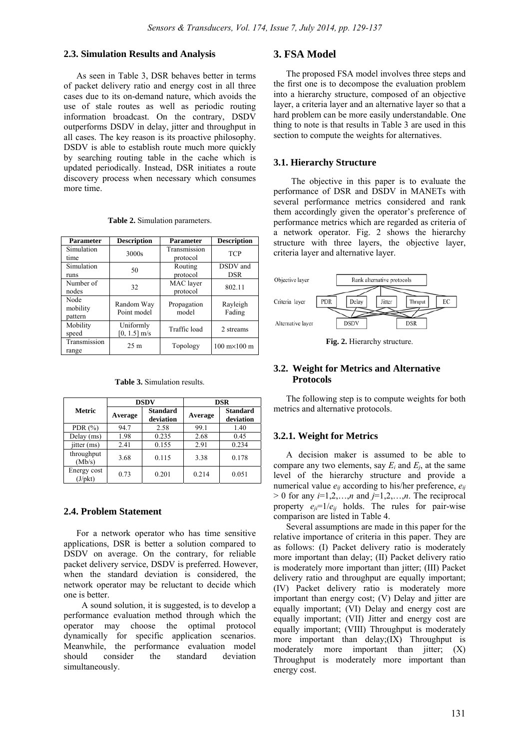## **2.3. Simulation Results and Analysis**

As seen in Table 3, DSR behaves better in terms of packet delivery ratio and energy cost in all three cases due to its on-demand nature, which avoids the use of stale routes as well as periodic routing information broadcast. On the contrary, DSDV outperforms DSDV in delay, jitter and throughput in all cases. The key reason is its proactive philosophy. DSDV is able to establish route much more quickly by searching routing table in the cache which is updated periodically. Instead, DSR initiates a route discovery process when necessary which consumes more time.

|  | <b>Table 2.</b> Simulation parameters. |
|--|----------------------------------------|
|  |                                        |

| <b>Parameter</b>            | <b>Description</b>          | <b>Parameter</b>         | <b>Description</b>                   |
|-----------------------------|-----------------------------|--------------------------|--------------------------------------|
| Simulation<br>time          | 3000s                       | Transmission<br>protocol | <b>TCP</b>                           |
| Simulation<br>runs          | 50                          | Routing<br>protocol      | DSDV and<br>DSR                      |
| Number of<br>nodes          | 32                          | MAC layer<br>protocol    | 802.11                               |
| Node<br>mobility<br>pattern | Random Way<br>Point model   | Propagation<br>model     | Rayleigh<br>Fading                   |
| Mobility<br>speed           | Uniformly<br>$[0, 1.5]$ m/s | Traffic load             | 2 streams                            |
| Transmission<br>range       | 25 <sub>m</sub>             | Topology                 | $100 \text{ m} \times 100 \text{ m}$ |

|                                 |         | <b>DSDV</b>                  | <b>DSR</b> |                              |  |
|---------------------------------|---------|------------------------------|------------|------------------------------|--|
| Metric                          | Average | <b>Standard</b><br>deviation | Average    | <b>Standard</b><br>deviation |  |
| PDR $(\% )$                     | 94.7    | 2.58                         | 99.1       | 1.40                         |  |
| Delay (ms)                      | 1.98    | 0.235                        | 2.68       | 0.45                         |  |
| jitter (ms)                     | 2.41    | 0.155                        | 2.91       | 0.234                        |  |
| throughput<br>(Mb/s)            | 3.68    | 0.115                        | 3.38       | 0.178                        |  |
| Energy cost<br>$(J/\text{pkt})$ | 0.73    | 0.201                        | 0.214      | 0.051                        |  |

**Table 3.** Simulation results.

#### **2.4. Problem Statement**

For a network operator who has time sensitive applications, DSR is better a solution compared to DSDV on average. On the contrary, for reliable packet delivery service, DSDV is preferred. However, when the standard deviation is considered, the network operator may be reluctant to decide which one is better.

A sound solution, it is suggested, is to develop a performance evaluation method through which the operator may choose the optimal protocol dynamically for specific application scenarios. Meanwhile, the performance evaluation model should consider the standard deviation simultaneously.

## **3. FSA Model**

The proposed FSA model involves three steps and the first one is to decompose the evaluation problem into a hierarchy structure, composed of an objective layer, a criteria layer and an alternative layer so that a hard problem can be more easily understandable. One thing to note is that results in Table 3 are used in this section to compute the weights for alternatives.

#### **3.1. Hierarchy Structure**

The objective in this paper is to evaluate the performance of DSR and DSDV in MANETs with several performance metrics considered and rank them accordingly given the operator's preference of performance metrics which are regarded as criteria of a network operator. Fig. 2 shows the hierarchy structure with three layers, the objective layer, criteria layer and alternative layer.



**Fig. 2.** Hierarchy structure.

## **3.2. Weight for Metrics and Alternative Protocols**

The following step is to compute weights for both metrics and alternative protocols.

### **3.2.1. Weight for Metrics**

A decision maker is assumed to be able to compare any two elements, say  $E_i$  and  $E_i$ , at the same level of the hierarchy structure and provide a numerical value *eij* according to his/her preference, *eij*   $> 0$  for any  $i=1,2,...,n$  and  $j=1,2,...,n$ . The reciprocal property  $e_{ji}=1/e_{ij}$  holds. The rules for pair-wise comparison are listed in Table 4.

Several assumptions are made in this paper for the relative importance of criteria in this paper. They are as follows: (I) Packet delivery ratio is moderately more important than delay; (II) Packet delivery ratio is moderately more important than jitter; (III) Packet delivery ratio and throughput are equally important; (IV) Packet delivery ratio is moderately more important than energy cost; (V) Delay and jitter are equally important; (VI) Delay and energy cost are equally important; (VII) Jitter and energy cost are equally important; (VIII) Throughput is moderately more important than delay;(IX) Throughput is moderately more important than jitter; (X) Throughput is moderately more important than energy cost.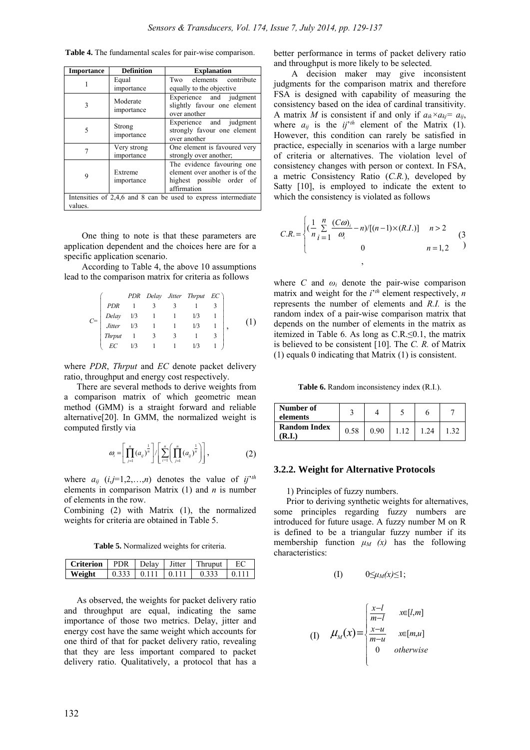**Table 4.** The fundamental scales for pair-wise comparison.

| <b>Importance</b> | <b>Definition</b>         | <b>Explanation</b>                                                                                       |
|-------------------|---------------------------|----------------------------------------------------------------------------------------------------------|
|                   | Equal<br>importance       | Two elements contribute<br>equally to the objective                                                      |
| 3                 | Moderate<br>importance    | Experience and judgment<br>slightly favour one element<br>over another                                   |
| 5                 | Strong<br>importance      | Experience and judgment<br>strongly favour one element<br>over another                                   |
|                   | Very strong<br>importance | One element is favoured very<br>strongly over another;                                                   |
| 9                 | Extreme<br>importance     | The evidence favouring one<br>element over another is of the<br>highest possible order of<br>affirmation |
| values.           |                           | Intensities of 2,4,6 and 8 can be used to express intermediate                                           |

One thing to note is that these parameters are application dependent and the choices here are for a specific application scenario.

According to Table 4, the above 10 assumptions lead to the comparison matrix for criteria as follows

|       |               |     |  | PDR Delay Jitter Thrput $EC$ |  |  |
|-------|---------------|-----|--|------------------------------|--|--|
|       | <b>PDR</b>    |     |  |                              |  |  |
| $C =$ | Delay         |     |  |                              |  |  |
|       | <b>Jitter</b> | 1/3 |  |                              |  |  |
|       | <b>Thrput</b> |     |  |                              |  |  |
|       |               |     |  |                              |  |  |

where *PDR*, *Thrput* and *EC* denote packet delivery ratio, throughput and energy cost respectively.

There are several methods to derive weights from a comparison matrix of which geometric mean method (GMM) is a straight forward and reliable alternative[20]. In GMM, the normalized weight is computed firstly via

$$
\omega_{i} = \left[ \prod_{j=1}^{n} (a_{ij})^{\frac{1}{n}} \right] / \left[ \sum_{i=1}^{n} \left( \prod_{j=1}^{n} (a_{ij})^{\frac{1}{n}} \right) \right],
$$
 (2)

where  $a_{ij}$  (*i,j*=1,2,…,*n*) denotes the value of *ij*<sup>'th</sup> elements in comparison Matrix (1) and *n* is number of elements in the row.

Combining (2) with Matrix (1), the normalized weights for criteria are obtained in Table 5.

**Table 5.** Normalized weights for criteria.

| Criterion   PDR   Delay   Jitter   Thruput |                             |       |        |
|--------------------------------------------|-----------------------------|-------|--------|
| Weight                                     | $0.333 \pm 0.111 \pm 0.111$ | 0.333 | l 0111 |

As observed, the weights for packet delivery ratio and throughput are equal, indicating the same importance of those two metrics. Delay, jitter and energy cost have the same weight which accounts for one third of that for packet delivery ratio, revealing that they are less important compared to packet delivery ratio. Qualitatively, a protocol that has a

better performance in terms of packet delivery ratio and throughput is more likely to be selected.

A decision maker may give inconsistent judgments for the comparison matrix and therefore FSA is designed with capability of measuring the consistency based on the idea of cardinal transitivity. A matrix *M* is consistent if and only if  $a_{ik} \times a_{ki} = a_{ii}$ , where  $a_{ij}$  is the  $ij^{\prime\prime}$  element of the Matrix (1). However, this condition can rarely be satisfied in practice, especially in scenarios with a large number of criteria or alternatives. The violation level of consistency changes with person or context. In FSA, a metric Consistency Ratio (*C.R.*), developed by Satty [10], is employed to indicate the extent to which the consistency is violated as follows

$$
C.R. = \begin{cases} \n\frac{1}{n} \sum_{i=1}^{n} \frac{(C\omega)_i}{\omega_i} - \frac{n}{[(n-1)\times (R.I.)]} & n > 2\\ \n0 & n = 1, 2\n\end{cases} \tag{3}
$$

where *C* and  $\omega_i$  denote the pair-wise comparison matrix and weight for the *i*<sup>th</sup> element respectively, *n* represents the number of elements and *R.I.* is the random index of a pair-wise comparison matrix that depends on the number of elements in the matrix as itemized in Table 6. As long as  $C.R.\leq 0.1$ , the matrix is believed to be consistent [10]. The *C. R.* of Matrix (1) equals 0 indicating that Matrix (1) is consistent.

**Table 6.** Random inconsistency index (R.I.).

| Number of<br>elements       |      |      |      |      |  |
|-----------------------------|------|------|------|------|--|
| <b>Random Index</b><br>R.I. | 0.58 | 0.90 | 1.12 | 1.24 |  |

#### **3.2.2. Weight for Alternative Protocols**

1) Principles of fuzzy numbers.

Prior to deriving synthetic weights for alternatives, some principles regarding fuzzy numbers are introduced for future usage. A fuzzy number M on R is defined to be a triangular fuzzy number if its membership function  $\mu$ <sup>*M*</sup> (*x*) has the following characteristics:

$$
(I) \qquad 0 \leq \mu_M(x) \leq 1;
$$

$$
(I) \quad \mu_M(x) = \begin{cases} \frac{x-l}{m-l} & x \in [l,m] \\ \frac{x-u}{m-u} & x \in [m,u] \\ 0 & otherwise \end{cases}
$$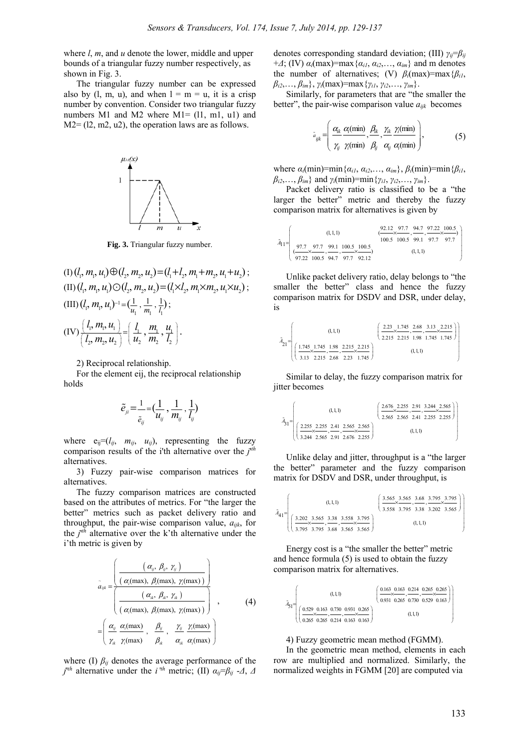where *l*, *m*, and *u* denote the lower, middle and upper bounds of a triangular fuzzy number respectively, as shown in Fig. 3.

The triangular fuzzy number can be expressed also by (l, m, u), and when  $l = m = u$ , it is a crisp number by convention. Consider two triangular fuzzy numbers M1 and M2 where M1= (11, m1, u1) and M2= (12, m2, u2), the operation laws are as follows.



**Fig. 3.** Triangular fuzzy number.

(I) 
$$
(l_1, m_1, u_1) \oplus (l_2, m_2, u_2) = (l_1 + l_2, m_1 + m_2, u_1 + u_2);
$$
  
\n(II)  $(l_1, m_1, u_1) \odot (l_2, m_2, u_2) = (l_1 \times l_2, m_1 \times m_2, u_1 \times u_2);$   
\n(III)  $(l_1, m_1, u_1)^{-1} = (\frac{1}{u_1}, \frac{1}{m_1}, \frac{1}{l_1});$   
\n(IV)  $(\frac{l_1, m_1, u_1}{(l_2, m_2, u_2)} = (\frac{l_1}{u_2}, \frac{m_1}{m_2}, \frac{u_1}{l_2}).$ 

2) Reciprocal relationship.

For the element eij, the reciprocal relationship holds

$$
\tilde{e}_{ji} = \frac{1}{\tilde{e}_{ij}} = \left(\frac{1}{u_{ij}}, \frac{1}{m_{ij}}, \frac{1}{l_{ij}}\right)
$$

where  $e_{ij}=(l_{ij}, m_{ij}, u_{ij})$ , representing the fuzzy comparison results of the i'th alternative over the *j*' *th* alternatives.

3) Fuzzy pair-wise comparison matrices for alternatives.

The fuzzy comparison matrices are constructed based on the attributes of metrics. For "the larger the better" metrics such as packet delivery ratio and throughput, the pair-wise comparison value, *aijk*, for the *j*' *th* alternative over the k'th alternative under the i'th metric is given by

$$
\tilde{a}_{ijk} = \frac{\left(\frac{(\alpha_{ij}, \beta_{ij}, \gamma_{ij})}{(\alpha_{i}(\max), \beta_{i}(\max), \gamma_{i}(\max))}\right)}{\left(\frac{(\alpha_{ik}, \beta_{ik}, \gamma_{ik})}{(\alpha_{i}(\max), \beta_{i}(\max), \gamma_{i}(\max))}\right)}, \qquad (4)
$$
\n
$$
= \left(\frac{\alpha_{ij}}{\gamma_{ik}} \frac{\alpha_{i}(\max)}{\gamma_{i}(\max)}, \frac{\beta_{ij}}{\beta_{ik}}, \frac{\gamma_{ij}}{\alpha_{ik}} \frac{\gamma_{i}(\max)}{\alpha_{i}(\max)}\right)
$$

where (I)  $\beta_{ij}$  denotes the average performance of the *j*' *th* alternative under the *i'th* metric; (II) *αij*=*βij* -*Δ*, *Δ*

denotes corresponding standard deviation; (III) *γij*=*βij* + $\Delta$ ; (IV)  $\alpha_i$ (max)=max $\{\alpha_{i1}, \alpha_{i2}, \dots, \alpha_{im}\}\$ and m denotes the number of alternatives; (V)  $\beta_i$ (max)=max $\{\beta_{i1},\}$ *βi2*,…, *βim*}, *γi*(max)=max{*γi1*, *γi2*,…, *γim*}.

Similarly, for parameters that are "the smaller the better", the pair-wise comparison value *aijk* becomes

$$
\tilde{a}_{ijk} = \left( \frac{\alpha_{ik}}{\gamma_{ij}} \frac{\alpha_i(\text{min})}{\gamma_i(\text{min})}, \frac{\beta_{ik}}{\beta_{ij}}, \frac{\gamma_{ik}}{\alpha_{ij}} \frac{\gamma_i(\text{min})}{\alpha_i(\text{min})} \right), \tag{5}
$$

where  $\alpha_i$ (min)=min $\{\alpha_{i1}, \alpha_{i2}, \ldots, \alpha_{im}\}, \beta_i$ (min)=min $\{\beta_{i1}, \ldots, \beta_{im}\}$  $\beta_{i2},...,\beta_{im}$  and  $\gamma_i$ (min)=min{ $\gamma_{i1},\gamma_{i2},...,\gamma_{im}$ .

Packet delivery ratio is classified to be a "the larger the better" metric and thereby the fuzzy comparison matrix for alternatives is given by

$$
\tilde{A}_{11} = \begin{pmatrix} (1,1,1) & \frac{(92.12 \times 97.7}{\times}, \frac{94.7}{\times}, \frac{97.22 \times 100.5}{\times}, 100.5, 100.5, 99.1, 97.7, 97.7) \\ \frac{(97.7 \times 97.7}{\times}, \frac{99.1}{\times}, \frac{100.5 \times 100.5}{\times}, 100.5, 100.5, 100.5, 99.1, 97.7, 97.7) \\ \frac{(1,1,1)}{27.22 \times 100.5}, \frac{(1,1,1)}{27.22 \times 100.5}, \frac{(1,1,1)}{27.22 \times 100.5}, \frac{(1,1,1)}{27.22 \times 100.5}, \frac{(1,1,1)}{27.22 \times 100.5}, \frac{(1,1,1)}{27.22 \times 100.5}, \frac{(1,1,1)}{27.22 \times 100.5}, \frac{(1,1,1)}{27.22 \times 100.5}, \frac{(1,1,1)}{27.22 \times 100.5}, \frac{(1,1,1)}{27.22 \times 100.5}, \frac{(1,1,1)}{27.22 \times 100.5}, \frac{(1,1,1)}{27.22 \times 100.5}, \frac{(1,1,1)}{27.22 \times 100.5}, \frac{(1,1,1)}{27.22 \times 100.5}, \frac{(1,1,1)}{27.22 \times 100.5}, \frac{(1,1,1)}{27.22 \times 100.5}, \frac{(1,1,1)}{27.22 \times 100.5}, \frac{(1,1,1)}{27.22 \times 100.5}, \frac{(1,1,1)}{27.22 \times 100.5}, \frac{(1,1,1)}{27.22 \times 100.5}, \frac{(1,1,1)}{27.22 \times 100.5}, \frac{(1,1,1)}{27.22 \times 100.5}, \frac{(1,1,1)}{27.22 \times 100.5}, \frac{(1,1,1)}{27
$$

Unlike packet delivery ratio, delay belongs to "the smaller the better" class and hence the fuzzy comparison matrix for DSDV and DSR, under delay, is

$$
\tilde{A}_{21} = \left( \frac{(1,1,1)}{\left( \frac{1.745}{3.13}, \frac{1.745}{2.215}, \frac{1.98}{2.215}, \frac{2.215}{2.215}, \frac{2.215}{2.215}, \frac{2.215}{2.215}, \frac{2.215}{1.98}, \frac{3.13}{1.745}, \frac{2.215}{1.745} \right)}{(1,1,1)} \right)
$$

Similar to delay, the fuzzy comparison matrix for jitter becomes

$$
\tilde{A}_{31} = \begin{pmatrix}\n(1,1) & \left(\frac{2.676}{\times} \frac{2.255}{\times} \cdot \frac{2.91}{\times} \cdot \frac{3.244}{\times} \cdot \frac{2.565}{\times} \right) \\
\left(\frac{2.255}{3.244} \cdot \frac{2.255}{\times} \cdot \frac{2.41}{\times} \cdot \frac{2.565}{\times} \cdot \frac{2.565}{\times} \cdot \frac{2.565}{\times} \cdot \frac{2.565}{\times} \cdot \frac{2.565}{\times} \cdot \frac{2.565}{\times} \cdot \frac{2.565}{\times} \cdot \frac{2.565}{\times} \cdot \frac{2.565}{\times} \cdot \frac{2.565}{\times} \cdot \frac{2.565}{\times} \cdot \frac{2.565}{\times} \cdot \frac{2.565}{\times} \cdot \frac{2.565}{\times} \cdot \frac{2.565}{\times} \cdot \frac{2.565}{\times} \cdot \frac{2.565}{\times} \cdot \frac{2.565}{\times} \cdot \frac{2.565}{\times} \cdot \frac{2.565}{\times} \cdot \frac{2.565}{\times} \cdot \frac{2.565}{\times} \cdot \frac{2.565}{\times} \cdot \frac{2.565}{\times} \cdot \frac{2.565}{\times} \cdot \frac{2.565}{\times} \cdot \frac{2.565}{\times} \cdot \frac{2.565}{\times} \cdot \frac{2.565}{\times} \cdot \frac{2.565}{\times} \cdot \frac{2.565}{\times} \cdot \frac{2.565}{\times} \cdot \frac{2.565}{\times} \cdot \frac{2.565}{\times} \cdot \frac{2.565}{\times} \cdot \frac{2.565}{\times} \cdot \frac{2.565}{\times} \cdot \frac{2.565}{\times} \cdot \frac{2.565}{\times} \cdot \frac{2.565}{\times} \cdot \frac{2.565}{\times} \cdot \frac{2.565}{\times} \cdot \frac{2.565}{\times} \cdot \frac{2.565}{\times} \cdot \frac{2
$$

Unlike delay and jitter, throughput is a "the larger the better" parameter and the fuzzy comparison matrix for DSDV and DSR, under throughput, is

$$
\tilde{A}_{41} = \left( \frac{(1,1,1)}{\left(\frac{3.202 \times 3.565}{3.795}, \frac{3.38}{3.795}, \frac{3.558}{3.795}, \frac{3.795}{3.795}, \frac{3.795}{3.795}, \frac{3.795}{3.202}, \frac{3.795}{3.565}\right)} \right)
$$

Energy cost is a "the smaller the better" metric and hence formula (5) is used to obtain the fuzzy comparison matrix for alternatives.

$$
\tilde{A}_{51} = \begin{pmatrix}\n(1,1) & \left(\frac{0.163}{\sqrt{0.931}}, \frac{0.214}{\sqrt{0.931}}, \frac{0.214}{\sqrt{0.931}}, \frac{0.265}{\sqrt{0.930}}, \frac{0.265}{\sqrt{0.930}}, \frac{0.265}{\sqrt{0.930}}, \frac{0.265}{\sqrt{0.930}}, \frac{0.265}{\sqrt{0.930}}, \frac{0.265}{\sqrt{0.930}}, \frac{0.265}{\sqrt{0.930}}, \frac{0.265}{\sqrt{0.930}}, \frac{0.265}{\sqrt{0.930}}, \frac{0.265}{\sqrt{0.930}}, \frac{0.265}{\sqrt{0.930}}, \frac{0.265}{\sqrt{0.930}}, \frac{0.265}{\sqrt{0.930}}, \frac{0.265}{\sqrt{0.930}}, \frac{0.265}{\sqrt{0.930}}, \frac{0.265}{\sqrt{0.930}}, \frac{0.265}{\sqrt{0.930}}, \frac{0.265}{\sqrt{0.930}}, \frac{0.265}{\sqrt{0.930}}, \frac{0.265}{\sqrt{0.930}}, \frac{0.265}{\sqrt{0.930}}, \frac{0.265}{\sqrt{0.930}}, \frac{0.265}{\sqrt{0.930}}, \frac{0.265}{\sqrt{0.930}}, \frac{0.265}{\sqrt{0.930}}, \frac{0.265}{\sqrt{0.930}}, \frac{0.265}{\sqrt{0.930}}, \frac{0.265}{\sqrt{0.930}}, \frac{0.265}{\sqrt{0.930}}, \frac{0.265}{\sqrt{0.930}}, \frac{0.265}{\sqrt{0.930}}, \frac{0.265}{\sqrt{0.930}}, \frac{0.265}{\sqrt{0.930}}, \frac{0.265}{\sqrt{0.930}}, \frac{0.265}{\sqrt{0.930}}, \frac{0.265}{\sqrt{0.930}}, \frac{0.265}{\sqrt{0.930}}, \frac{0.265}{\sqrt{0.9
$$

#### 4) Fuzzy geometric mean method (FGMM).

In the geometric mean method, elements in each row are multiplied and normalized. Similarly, the normalized weights in FGMM [20] are computed via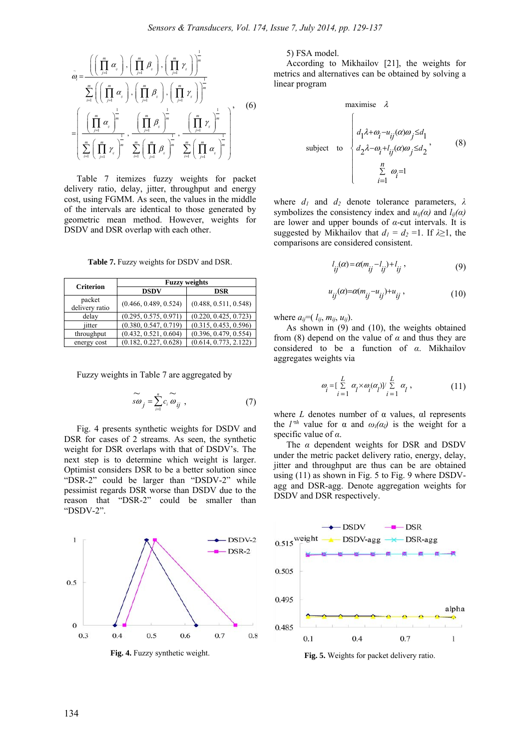$$
\tilde{\omega}_{j} = \frac{\left( \left( \prod_{j=1}^{m} \alpha_{_{ij}} \right), \left( \prod_{j=1}^{m} \beta_{_{ij}} \right), \left( \prod_{j=1}^{m} \gamma_{_{ij}} \right) \right)^{\frac{1}{m}}}{\sum_{i=1}^{m} \left( \left( \prod_{j=1}^{m} \alpha_{_{ij}} \right), \left( \prod_{j=1}^{m} \beta_{_{ij}} \right), \left( \prod_{j=1}^{m} \gamma_{_{ij}} \right) \right)^{\frac{1}{m}}}
$$
\n
$$
= \left( \frac{\left( \prod_{j=1}^{m} \alpha_{_{ij}} \right)^{\frac{1}{m}}}{\sum_{i=1}^{m} \left( \prod_{j=1}^{m} \beta_{_{ij}} \right)^{\frac{1}{m}}}, \frac{\left( \prod_{j=1}^{m} \beta_{_{ij}} \right)^{\frac{1}{m}}}{\sum_{i=1}^{m} \left( \prod_{j=1}^{m} \gamma_{_{ij}} \right)^{\frac{1}{m}}}, \frac{\left( \prod_{j=1}^{m} \gamma_{_{ij}} \right)^{\frac{1}{m}}}{\sum_{i=1}^{m} \left( \prod_{j=1}^{m} \alpha_{_{ij}} \right)^{\frac{1}{m}}}\right), \quad (6)
$$

Table 7 itemizes fuzzy weights for packet delivery ratio, delay, jitter, throughput and energy cost, using FGMM. As seen, the values in the middle of the intervals are identical to those generated by geometric mean method. However, weights for DSDV and DSR overlap with each other.

**Table 7.** Fuzzy weights for DSDV and DSR.

| <b>Criterion</b>         | <b>Fuzzy weights</b>  |                       |  |  |
|--------------------------|-----------------------|-----------------------|--|--|
|                          | <b>DSDV</b>           | <b>DSR</b>            |  |  |
| packet<br>delivery ratio | (0.466, 0.489, 0.524) | (0.488, 0.511, 0.548) |  |  |
| delay                    | (0.295, 0.575, 0.971) | (0.220, 0.425, 0.723) |  |  |
| jitter                   | (0.380, 0.547, 0.719) | (0.315, 0.453, 0.596) |  |  |
| throughput               | (0.432, 0.521, 0.604) | (0.396, 0.479, 0.554) |  |  |
| energy cost              | (0.182, 0.227, 0.628) | (0.614, 0.773, 2.122) |  |  |

Fuzzy weights in Table 7 are aggregated by

$$
\widetilde{\widetilde{\mathcal{SO}}}_{j} = \sum_{i=1}^{n} c_{i} \widetilde{\omega}_{ij} , \qquad (7)
$$

Fig. 4 presents synthetic weights for DSDV and DSR for cases of 2 streams. As seen, the synthetic weight for DSR overlaps with that of DSDV's. The next step is to determine which weight is larger. Optimist considers DSR to be a better solution since "DSR-2" could be larger than "DSDV-2" while pessimist regards DSR worse than DSDV due to the reason that "DSR-2" could be smaller than "DSDV-2".



**Fig. 4.** Fuzzy synthetic weight.

5) FSA model.

According to Mikhailov [21], the weights for metrics and alternatives can be obtained by solving a linear program

maximise 
$$
\lambda
$$
  
\nsubject to\n
$$
\begin{cases}\n d_1 \lambda + \omega_i - u_{ij}(\alpha) \omega_j \le d_1 \\
 d_2 \lambda - \omega_i + l_{ij}(\alpha) \omega_j \le d_2 \\
 n \\
 \sum_{i=1}^n \omega_i = 1\n\end{cases}
$$
\n(8)

where  $d_1$  and  $d_2$  denote tolerance parameters,  $\lambda$ symbolizes the consistency index and  $u_{ii}(\alpha)$  and  $l_{ii}(\alpha)$ are lower and upper bounds of *α*-cut intervals. It is suggested by Mikhailov that  $d_1 = d_2 = 1$ . If  $\lambda \ge 1$ , the comparisons are considered consistent.

$$
l_{ij}(\alpha) = \alpha (m_{ij} - l_{ij}) + l_{ij} , \qquad (9)
$$

$$
u_{ij}(\alpha) = \alpha (m_{ij} - u_{ij}) + u_{ij}, \qquad (10)
$$

where  $a_{ij}=(l_{ij}, m_{ij}, u_{ij})$ .

As shown in (9) and (10), the weights obtained from (8) depend on the value of  $\alpha$  and thus they are considered to be a function of *α*. Mikhailov aggregates weights via

$$
\omega_{i} = \left[\sum_{i=1}^{L} \alpha_{i} \times \omega_{i}(\alpha_{i})\right] / \sum_{i=1}^{L} \alpha_{i}, \qquad (11)
$$

where  $L$  denotes number of  $\alpha$  values,  $\alpha$ l represents the *l*<sup>th</sup> value for  $\alpha$  and  $\omega_i(\alpha_i)$  is the weight for a specific value of *α*.

The *α* dependent weights for DSR and DSDV under the metric packet delivery ratio, energy, delay, jitter and throughput are thus can be are obtained using (11) as shown in Fig. 5 to Fig. 9 where DSDVagg and DSR-agg. Denote aggregation weights for DSDV and DSR respectively.



**Fig. 5.** Weights for packet delivery ratio.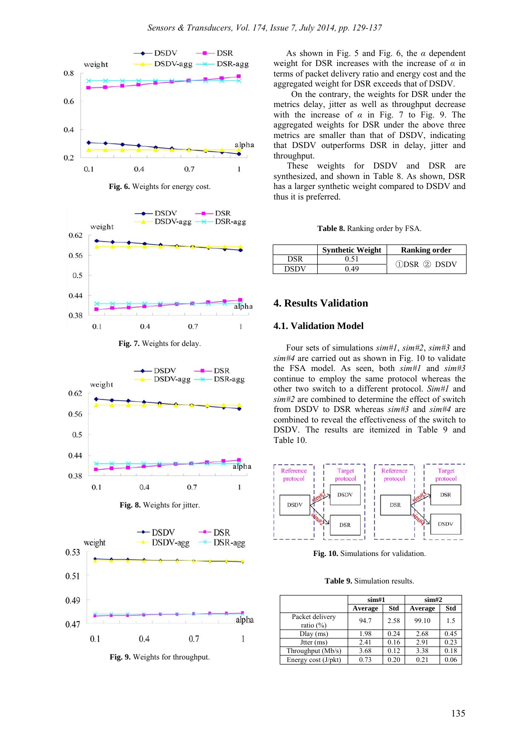

**Fig. 6.** Weights for energy cost.







**Fig. 9.** Weights for throughput.

As shown in Fig. 5 and Fig. 6, the *α* dependent weight for DSR increases with the increase of *α* in terms of packet delivery ratio and energy cost and the aggregated weight for DSR exceeds that of DSDV.

On the contrary, the weights for DSR under the metrics delay, jitter as well as throughput decrease with the increase of  $\alpha$  in Fig. 7 to Fig. 9. The aggregated weights for DSR under the above three metrics are smaller than that of DSDV, indicating that DSDV outperforms DSR in delay, jitter and throughput.

These weights for DSDV and DSR are synthesized, and shown in Table 8. As shown, DSR has a larger synthetic weight compared to DSDV and thus it is preferred.

**Table 8.** Ranking order by FSA.

|      | <b>Synthetic Weight</b> | <b>Ranking order</b> |
|------|-------------------------|----------------------|
| DSR  | 0.51                    |                      |
| DSDV | 0.49                    | 1) DSR 2 DSDV        |

#### **4. Results Validation**

### **4.1. Validation Model**

Four sets of simulations *sim#1*, *sim#2*, *sim#3* and *sim#4* are carried out as shown in Fig. 10 to validate the FSA model. As seen, both *sim#1* and *sim#3* continue to employ the same protocol whereas the other two switch to a different protocol. *Sim#1* and *sim#2* are combined to determine the effect of switch from DSDV to DSR whereas *sim#3* and *sim#4* are combined to reveal the effectiveness of the switch to DSDV. The results are itemized in Table 9 and Table 10.



**Fig. 10.** Simulations for validation.

**Table 9.** Simulation results.

|                                 | sim#1   |      | sim#2   |      |
|---------------------------------|---------|------|---------|------|
|                                 | Average | Std  | Average | Std  |
| Packet delivery<br>ratio $(\%)$ | 94.7    | 2.58 | 99.10   | 15   |
| Dlay(ms)                        | 1.98    | 0.24 | 2.68    | 0.45 |
| Jtter $(ms)$                    | 2.41    | 0.16 | 2.91    | 0.23 |
| Throughput (Mb/s)               | 3.68    | 0.12 | 3.38    | 0.18 |
| Energy cost $(J/\text{pkt})$    | 0.73    | 0.20 | 0.21    | 0.06 |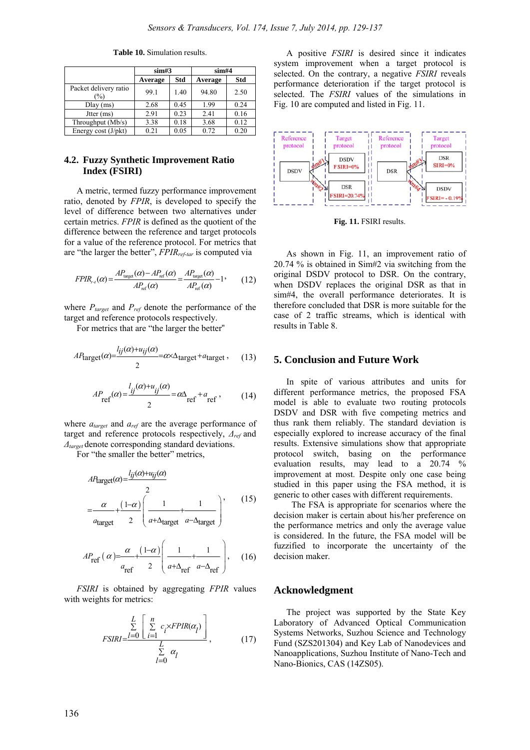|                                 | sim#3   |            | sim#4   |      |  |
|---------------------------------|---------|------------|---------|------|--|
|                                 | Average | <b>Std</b> | Average | Std  |  |
| Packet delivery ratio<br>$(\%)$ | 99.1    | 1.40       | 94.80   | 2.50 |  |
| Dlay(ms)                        | 2.68    | 0.45       | 1.99    | 0.24 |  |
| Jtter $(ms)$                    | 2.91    | 0.23       | 2.41    | 0.16 |  |
| Throughput (Mb/s)               | 3.38    | 0.18       | 3.68    | 0.12 |  |
| Energy cost $(J/\text{pkt})$    | 0.21    | 0.05       | 0.72    | 0.20 |  |

**Table 10.** Simulation results.

## **4.2. Fuzzy Synthetic Improvement Ratio Index (FSIRI)**

A metric, termed fuzzy performance improvement ratio, denoted by *FPIR*, is developed to specify the level of difference between two alternatives under certain metrics. *FPIR* is defined as the quotient of the difference between the reference and target protocols for a value of the reference protocol. For metrics that are "the larger the better", *FPIRref-tar* is computed via

$$
FPIR_{r}(\alpha) = \frac{AP_{\text{target}}(\alpha) - AP_{\text{ref}}(\alpha)}{AP_{\text{ref}}(\alpha)} = \frac{AP_{\text{target}}(\alpha)}{AP_{\text{ref}}(\alpha)} - 1, \qquad (12)
$$

where *Ptarget* and *Pref* denote the performance of the target and reference protocols respectively.

For metrics that are "the larger the better"

$$
A P_{\text{target}}(\alpha) = \frac{l_{ij}(\alpha) + u_{ij}(\alpha)}{2} = \alpha \times \Delta_{\text{target}} + a_{\text{target}} \,,\tag{13}
$$

$$
AP_{\text{ref}}(\alpha) = \frac{l_{ij}(\alpha) + u_{ij}(\alpha)}{2} = \alpha \Delta_{\text{ref}} + a_{\text{ref}} \,,\tag{14}
$$

where  $a_{\text{target}}$  and  $a_{\text{ref}}$  are the average performance of target and reference protocols respectively, *Δref* and *Δtarget* denote corresponding standard deviations.

For "the smaller the better" metrics,

$$
A\text{Target}(\alpha) = \frac{l_{ij}(\alpha) + u_{ij}(\alpha)}{2}
$$

$$
= \frac{\alpha}{a_{\text{target}}} + \frac{(1-\alpha)}{2} \left( \frac{1}{a + \Delta_{\text{target}}} + \frac{1}{a - \Delta_{\text{target}}} \right), \qquad (15)
$$

$$
AP_{\text{ref}}\left(\alpha\right) = \frac{\alpha}{a_{\text{ref}} + \frac{(1-\alpha)}{2}} \left(\frac{1}{a + \Delta_{\text{ref}} + \frac{1}{a - \Delta_{\text{ref}}}}\right),\tag{16}
$$

*FSIRI* is obtained by aggregating *FPIR* values with weights for metrics:

$$
FSIRI = \frac{\sum\limits_{l=0}^{L} \left[ \sum\limits_{i=1}^{n} c_i \times FPIR(\alpha_i) \right]}{\sum\limits_{l=0}^{L} \alpha_l}, \qquad (17)
$$

A positive *FSIRI* is desired since it indicates system improvement when a target protocol is selected. On the contrary, a negative *FSIRI* reveals performance deterioration if the target protocol is selected. The *FSIRI* values of the simulations in Fig. 10 are computed and listed in Fig. 11.



**Fig. 11.** FSIRI results.

As shown in Fig. 11, an improvement ratio of 20.74 % is obtained in Sim#2 via switching from the original DSDV protocol to DSR. On the contrary, when DSDV replaces the original DSR as that in sim#4, the overall performance deteriorates. It is therefore concluded that DSR is more suitable for the case of 2 traffic streams, which is identical with results in Table 8.

#### **5. Conclusion and Future Work**

In spite of various attributes and units for different performance metrics, the proposed FSA model is able to evaluate two routing protocols DSDV and DSR with five competing metrics and thus rank them reliably. The standard deviation is especially explored to increase accuracy of the final results. Extensive simulations show that appropriate protocol switch, basing on the performance evaluation results, may lead to a 20.74 % improvement at most. Despite only one case being studied in this paper using the FSA method, it is generic to other cases with different requirements.

The FSA is appropriate for scenarios where the decision maker is certain about his/her preference on the performance metrics and only the average value is considered. In the future, the FSA model will be fuzzified to incorporate the uncertainty of the decision maker.

#### **Acknowledgment**

The project was supported by the State Key Laboratory of Advanced Optical Communication Systems Networks, Suzhou Science and Technology Fund (SZS201304) and Key Lab of Nanodevices and Nanoapplications, Suzhou Institute of Nano-Tech and Nano-Bionics, CAS (14ZS05).